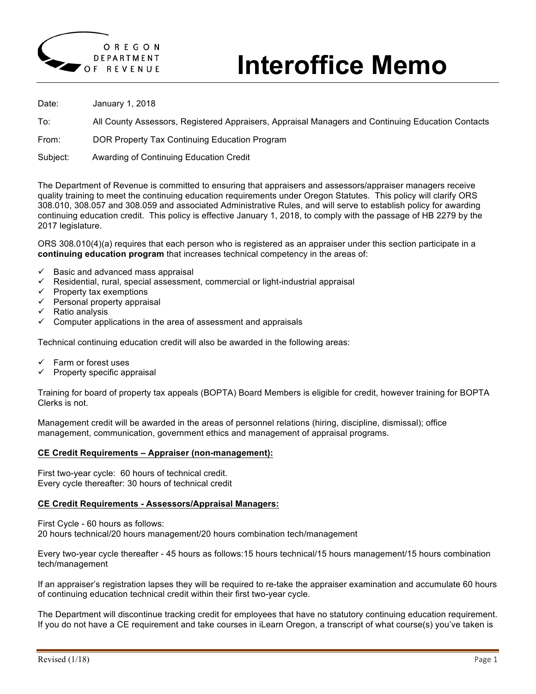

# **Interoffice Memo**

Date: January 1, 2018

To: All County Assessors, Registered Appraisers, Appraisal Managers and Continuing Education Contacts

From: DOR Property Tax Continuing Education Program

Subject: Awarding of Continuing Education Credit

The Department of Revenue is committed to ensuring that appraisers and assessors/appraiser managers receive quality training to meet the continuing education requirements under Oregon Statutes. This policy will clarify ORS 308.010, 308.057 and 308.059 and associated Administrative Rules, and will serve to establish policy for awarding continuing education credit. This policy is effective January 1, 2018, to comply with the passage of HB 2279 by the 2017 legislature.

ORS 308.010(4)(a) requires that each person who is registered as an appraiser under this section participate in a **continuing education program** that increases technical competency in the areas of:

- $\checkmark$  Basic and advanced mass appraisal
- $\checkmark$  Residential, rural, special assessment, commercial or light-industrial appraisal
- $\checkmark$  Property tax exemptions
- $\checkmark$  Personal property appraisal
- $\checkmark$  Ratio analysis
- $\checkmark$  Computer applications in the area of assessment and appraisals

Technical continuing education credit will also be awarded in the following areas:

- $\checkmark$  Farm or forest uses
- Property specific appraisal

Training for board of property tax appeals (BOPTA) Board Members is eligible for credit, however training for BOPTA Clerks is not.

Management credit will be awarded in the areas of personnel relations (hiring, discipline, dismissal); office management, communication, government ethics and management of appraisal programs.

#### **CE Credit Requirements – Appraiser (non-management):**

First two-year cycle: 60 hours of technical credit. Every cycle thereafter: 30 hours of technical credit

#### **CE Credit Requirements - Assessors/Appraisal Managers:**

First Cycle - 60 hours as follows: 20 hours technical/20 hours management/20 hours combination tech/management

Every two-year cycle thereafter - 45 hours as follows:15 hours technical/15 hours management/15 hours combination tech/management

If an appraiser's registration lapses they will be required to re-take the appraiser examination and accumulate 60 hours of continuing education technical credit within their first two-year cycle.

The Department will discontinue tracking credit for employees that have no statutory continuing education requirement. If you do not have a CE requirement and take courses in iLearn Oregon, a transcript of what course(s) you've taken is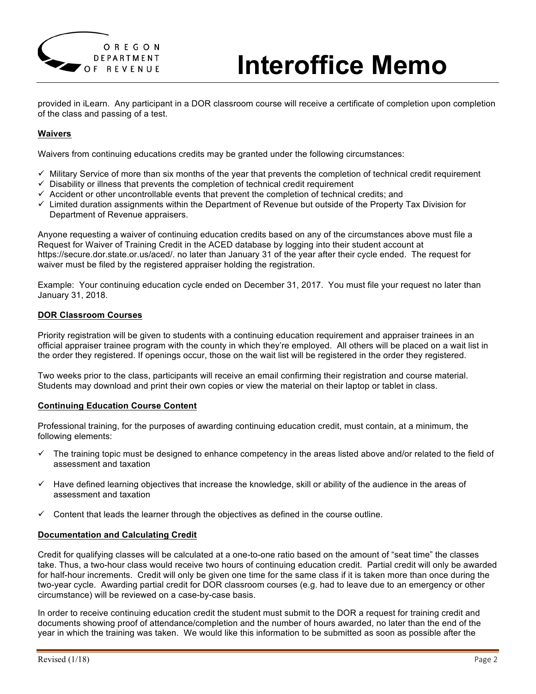

# **Interoffice Memo**

provided in iLearn. Any participant in a DOR classroom course will receive a certificate of completion upon completion of the class and passing of a test.

# **Waivers**

Waivers from continuing educations credits may be granted under the following circumstances:

- $\checkmark$  Military Service of more than six months of the year that prevents the completion of technical credit requirement
- $\checkmark$  Disability or illness that prevents the completion of technical credit requirement
- $\checkmark$  Accident or other uncontrollable events that prevent the completion of technical credits; and
- $\checkmark$  Limited duration assignments within the Department of Revenue but outside of the Property Tax Division for Department of Revenue appraisers.

Anyone requesting a waiver of continuing education credits based on any of the circumstances above must file a Request for Waiver of Training Credit in the ACED database by logging into their student account at https://secure.dor.state.or.us/aced/. no later than January 31 of the year after their cycle ended. The request for waiver must be filed by the registered appraiser holding the registration.

Example: Your continuing education cycle ended on December 31, 2017. You must file your request no later than January 31, 2018.

# **DOR Classroom Courses**

Priority registration will be given to students with a continuing education requirement and appraiser trainees in an official appraiser trainee program with the county in which they're employed. All others will be placed on a wait list in the order they registered. If openings occur, those on the wait list will be registered in the order they registered.

Two weeks prior to the class, participants will receive an email confirming their registration and course material. Students may download and print their own copies or view the material on their laptop or tablet in class.

#### **Continuing Education Course Content**

Professional training, for the purposes of awarding continuing education credit, must contain, at a minimum, the following elements:

- $\checkmark$  The training topic must be designed to enhance competency in the areas listed above and/or related to the field of assessment and taxation
- $\checkmark$  Have defined learning objectives that increase the knowledge, skill or ability of the audience in the areas of assessment and taxation
- $\checkmark$  Content that leads the learner through the objectives as defined in the course outline.

#### **Documentation and Calculating Credit**

Credit for qualifying classes will be calculated at a one-to-one ratio based on the amount of "seat time" the classes take. Thus, a two-hour class would receive two hours of continuing education credit. Partial credit will only be awarded for half-hour increments. Credit will only be given one time for the same class if it is taken more than once during the two-year cycle. Awarding partial credit for DOR classroom courses (e.g. had to leave due to an emergency or other circumstance) will be reviewed on a case-by-case basis.

In order to receive continuing education credit the student must submit to the DOR a request for training credit and documents showing proof of attendance/completion and the number of hours awarded, no later than the end of the year in which the training was taken. We would like this information to be submitted as soon as possible after the